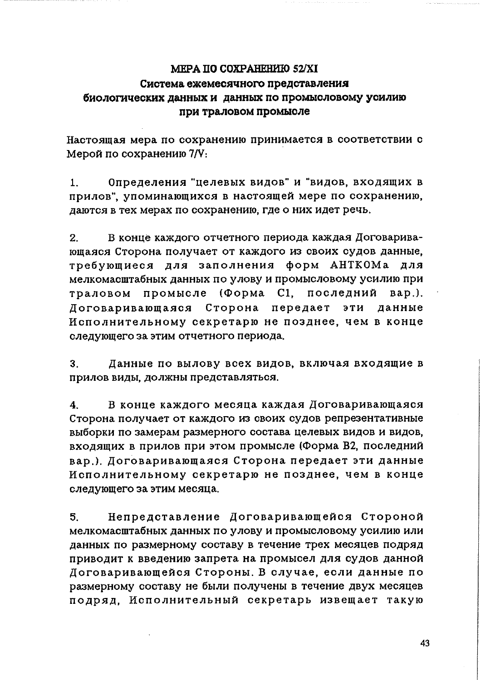## MEPA IIO COXPAHEHMIO 52/XI Система ежемесячного представления биологических данных и данных по промысловому усилию при траловом промысле

Настоящая мера по сохранению принимается в соответствии с Мерой по сохранению 7/V:

 $\mathbf{1}$ Определения "целевых видов" и "видов, входящих в прилов", упоминающихся в настоящей мере по сохранению, даются в тех мерах по сохранению, где о них идет речь.

 $2<sub>1</sub>$ В конце каждого отчетного периода каждая Договаривающаяся Сторона получает от каждого из своих судов данные. требующиеся для заполнения форм АНТКОМа для мелкомасштабных данных по улову и промысловому усилию при  $(\Phi$ орма  $Cl.$ промысле последний  $BAD.$ ). траловом Логоваривающаяся Сторона передает эти ланные Исполнительному секретарю не позднее, чем в конце следующего за этим отчетного периода.

 $3<sub>1</sub>$ Данные по вылову всех видов, включая входящие в прилов виды, должны представляться,

 $\overline{\mathbf{4}}$ В конце каждого месяца каждая Договаривающаяся Сторона получает от каждого из своих судов репрезентативные выборки по замерам размерного состава целевых видов и видов. входящих в прилов при этом промысле (Форма В2, последний вар.). Договаривающаяся Сторона передает эти данные Исполнительному секретарю не позднее, чем в конце следующего за этим месяца.

Непредставление Договаривающейся Стороной  $5<sub>1</sub>$ мелкомасштабных данных по улову и промысловому усилию или данных по размерному составу в течение трех месяцев подряд приводит к введению запрета на промысел для судов данной Договаривающейся Стороны. В случае, если данные по размерному составу не были получены в течение двух месяцев подряд. Исполнительный секретарь извещает такую